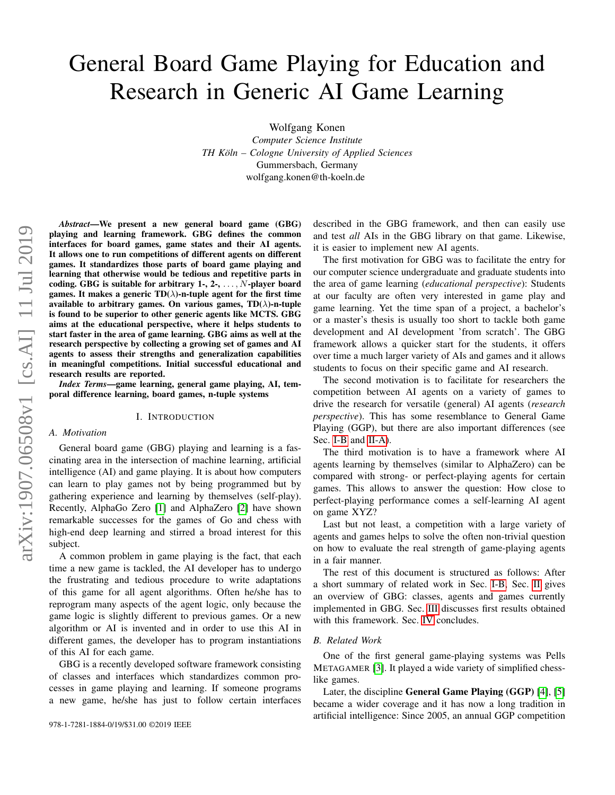# General Board Game Playing for Education and Research in Generic AI Game Learning

Wolfgang Konen

*Computer Science Institute TH Koln – Cologne University of Applied Sciences ¨* Gummersbach, Germany wolfgang.konen@th-koeln.de

*Abstract*—We present a new general board game (GBG) playing and learning framework. GBG defines the common interfaces for board games, game states and their AI agents. It allows one to run competitions of different agents on different games. It standardizes those parts of board game playing and learning that otherwise would be tedious and repetitive parts in coding. GBG is suitable for arbitrary  $1, 2, \ldots, N$ -player board games. It makes a generic  $TD(\lambda)$ -n-tuple agent for the first time available to arbitrary games. On various games,  $TD(\lambda)$ -n-tuple is found to be superior to other generic agents like MCTS. GBG aims at the educational perspective, where it helps students to start faster in the area of game learning. GBG aims as well at the research perspective by collecting a growing set of games and AI agents to assess their strengths and generalization capabilities in meaningful competitions. Initial successful educational and research results are reported.

*Index Terms*—game learning, general game playing, AI, temporal difference learning, board games, n-tuple systems

#### I. INTRODUCTION

#### *A. Motivation*

General board game (GBG) playing and learning is a fascinating area in the intersection of machine learning, artificial intelligence (AI) and game playing. It is about how computers can learn to play games not by being programmed but by gathering experience and learning by themselves (self-play). Recently, AlphaGo Zero [\[1\]](#page-7-0) and AlphaZero [\[2\]](#page-7-1) have shown remarkable successes for the games of Go and chess with high-end deep learning and stirred a broad interest for this subject.

A common problem in game playing is the fact, that each time a new game is tackled, the AI developer has to undergo the frustrating and tedious procedure to write adaptations of this game for all agent algorithms. Often he/she has to reprogram many aspects of the agent logic, only because the game logic is slightly different to previous games. Or a new algorithm or AI is invented and in order to use this AI in different games, the developer has to program instantiations of this AI for each game.

GBG is a recently developed software framework consisting of classes and interfaces which standardizes common processes in game playing and learning. If someone programs a new game, he/she has just to follow certain interfaces described in the GBG framework, and then can easily use and test *all* AIs in the GBG library on that game. Likewise, it is easier to implement new AI agents.

The first motivation for GBG was to facilitate the entry for our computer science undergraduate and graduate students into the area of game learning (*educational perspective*): Students at our faculty are often very interested in game play and game learning. Yet the time span of a project, a bachelor's or a master's thesis is usually too short to tackle both game development and AI development 'from scratch'. The GBG framework allows a quicker start for the students, it offers over time a much larger variety of AIs and games and it allows students to focus on their specific game and AI research.

The second motivation is to facilitate for researchers the competition between AI agents on a variety of games to drive the research for versatile (general) AI agents (*research perspective*). This has some resemblance to General Game Playing (GGP), but there are also important differences (see Sec. [I-B](#page-0-0) and [II-A\)](#page-1-0).

The third motivation is to have a framework where AI agents learning by themselves (similar to AlphaZero) can be compared with strong- or perfect-playing agents for certain games. This allows to answer the question: How close to perfect-playing performance comes a self-learning AI agent on game XYZ?

Last but not least, a competition with a large variety of agents and games helps to solve the often non-trivial question on how to evaluate the real strength of game-playing agents in a fair manner.

The rest of this document is structured as follows: After a short summary of related work in Sec. [I-B,](#page-0-0) Sec. [II](#page-1-1) gives an overview of GBG: classes, agents and games currently implemented in GBG. Sec. [III](#page-3-0) discusses first results obtained with this framework. Sec. [IV](#page-6-0) concludes.

#### <span id="page-0-0"></span>*B. Related Work*

One of the first general game-playing systems was Pells METAGAMER [\[3\]](#page-7-2). It played a wide variety of simplified chesslike games.

Later, the discipline General Game Playing (GGP) [\[4\]](#page-7-3), [\[5\]](#page-7-4) became a wider coverage and it has now a long tradition in artificial intelligence: Since 2005, an annual GGP competition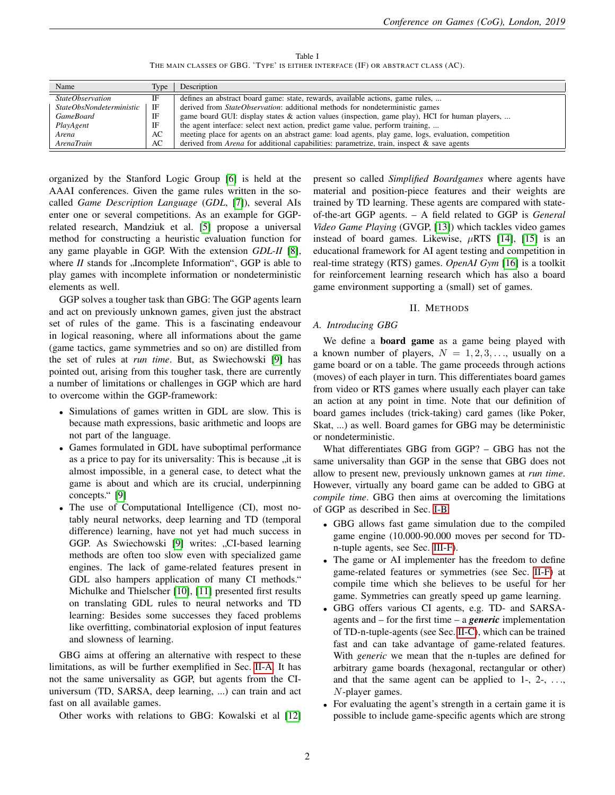Table I THE MAIN CLASSES OF GBG. 'TYPE' IS EITHER INTERFACE (IF) OR ABSTRACT CLASS (AC).

<span id="page-1-2"></span>

| Name                     | Type | Description                                                                                         |
|--------------------------|------|-----------------------------------------------------------------------------------------------------|
| <i>StateObservation</i>  | IF   | defines an abstract board game: state, rewards, available actions, game rules,                      |
| StateObsNondeterministic | IF   | derived from <i>StateObservation</i> : additional methods for nondeterministic games                |
| <b>GameBoard</b>         | IF   | game board GUI: display states & action values (inspection, game play), HCI for human players,      |
| PlayAgent                | IF   | the agent interface: select next action, predict game value, perform training,                      |
| Arena                    | AC   | meeting place for agents on an abstract game: load agents, play game, logs, evaluation, competition |
| ArenaTrain               | AC   | derived from Arena for additional capabilities: parametrize, train, inspect & save agents           |

organized by the Stanford Logic Group [\[6\]](#page-7-5) is held at the AAAI conferences. Given the game rules written in the socalled *Game Description Language* (*GDL*, [\[7\]](#page-7-6)), several AIs enter one or several competitions. As an example for GGPrelated research, Mandziuk et al. [\[5\]](#page-7-4) propose a universal method for constructing a heuristic evaluation function for any game playable in GGP. With the extension *GDL-II* [\[8\]](#page-7-7), where  $II$  stands for  $\mu$ , Incomplete Information", GGP is able to  $\mu$ play games with incomplete information or nondeterministic elements as well.

GGP solves a tougher task than GBG: The GGP agents learn and act on previously unknown games, given just the abstract set of rules of the game. This is a fascinating endeavour in logical reasoning, where all informations about the game (game tactics, game symmetries and so on) are distilled from the set of rules at *run time*. But, as Swiechowski [\[9\]](#page-7-8) has pointed out, arising from this tougher task, there are currently a number of limitations or challenges in GGP which are hard to overcome within the GGP-framework:

- Simulations of games written in GDL are slow. This is because math expressions, basic arithmetic and loops are not part of the language.
- Games formulated in GDL have suboptimal performance as a price to pay for its universality: This is because  $\mu$  it is almost impact in a consequence of a detect what the almost impossible, in a general case, to detect what the game is about and which are its crucial, underpinning concepts." [\[9\]](#page-7-8)
- The use of Computational Intelligence (CI), most notably neural networks, deep learning and TD (temporal difference) learning, have not yet had much success in GGP. As Swiechowski [\[9\]](#page-7-8) writes: "CI-based learning<br>matheds are efter too alarmame with examinized game methods are often too slow even with specialized game engines. The lack of game-related features present in GDL also hampers application of many CI methods." Michulke and Thielscher [\[10\]](#page-7-9), [\[11\]](#page-7-10) presented first results on translating GDL rules to neural networks and TD learning: Besides some successes they faced problems like overfitting, combinatorial explosion of input features and slowness of learning.

GBG aims at offering an alternative with respect to these limitations, as will be further exemplified in Sec. [II-A.](#page-1-0) It has not the same universality as GGP, but agents from the CIuniversum (TD, SARSA, deep learning, ...) can train and act fast on all available games.

Other works with relations to GBG: Kowalski et al [\[12\]](#page-7-11)

present so called *Simplified Boardgames* where agents have material and position-piece features and their weights are trained by TD learning. These agents are compared with stateof-the-art GGP agents. – A field related to GGP is *General Video Game Playing* (GVGP, [\[13\]](#page-7-12)) which tackles video games instead of board games. Likewise,  $\mu$ RTS [\[14\]](#page-7-13), [\[15\]](#page-7-14) is an educational framework for AI agent testing and competition in real-time strategy (RTS) games. *OpenAI Gym* [\[16\]](#page-7-15) is a toolkit for reinforcement learning research which has also a board game environment supporting a (small) set of games.

# II. METHODS

# <span id="page-1-1"></span><span id="page-1-0"></span>*A. Introducing GBG*

We define a board game as a game being played with a known number of players,  $N = 1, 2, 3, \ldots$ , usually on a game board or on a table. The game proceeds through actions (moves) of each player in turn. This differentiates board games from video or RTS games where usually each player can take an action at any point in time. Note that our definition of board games includes (trick-taking) card games (like Poker, Skat, ...) as well. Board games for GBG may be deterministic or nondeterministic.

What differentiates GBG from GGP? – GBG has not the same universality than GGP in the sense that GBG does not allow to present new, previously unknown games at *run time*. However, virtually any board game can be added to GBG at *compile time*. GBG then aims at overcoming the limitations of GGP as described in Sec. [I-B:](#page-0-0)

- GBG allows fast game simulation due to the compiled game engine (10.000-90.000 moves per second for TDn-tuple agents, see Sec. [III-F\)](#page-6-1).
- The game or AI implementer has the freedom to define game-related features or symmetries (see Sec. [II-F\)](#page-3-1) at compile time which she believes to be useful for her game. Symmetries can greatly speed up game learning.
- GBG offers various CI agents, e.g. TD- and SARSAagents and – for the first time – a *generic* implementation of TD-n-tuple-agents (see Sec. [II-C\)](#page-2-0), which can be trained fast and can take advantage of game-related features. With *generic* we mean that the n-tuples are defined for arbitrary game boards (hexagonal, rectangular or other) and that the same agent can be applied to  $1, 2, \ldots$ N-player games.
- For evaluating the agent's strength in a certain game it is possible to include game-specific agents which are strong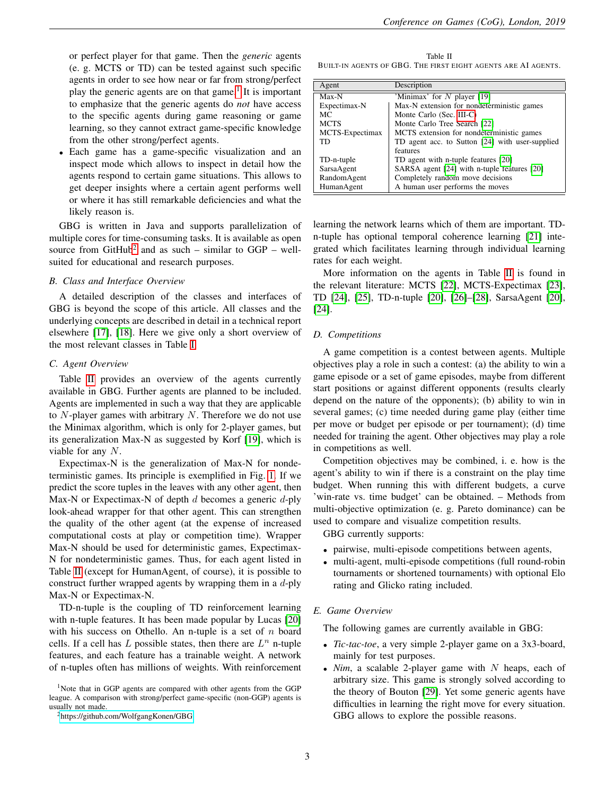or perfect player for that game. Then the *generic* agents (e. g. MCTS or TD) can be tested against such specific agents in order to see how near or far from strong/perfect play the generic agents are on that game.<sup>[1](#page-2-1)</sup> It is important to emphasize that the generic agents do *not* have access to the specific agents during game reasoning or game learning, so they cannot extract game-specific knowledge from the other strong/perfect agents.

• Each game has a game-specific visualization and an inspect mode which allows to inspect in detail how the agents respond to certain game situations. This allows to get deeper insights where a certain agent performs well or where it has still remarkable deficiencies and what the likely reason is.

GBG is written in Java and supports parallelization of multiple cores for time-consuming tasks. It is available as open source from  $GitHub<sup>2</sup>$  $GitHub<sup>2</sup>$  $GitHub<sup>2</sup>$  and as such – similar to  $GGP - well$ suited for educational and research purposes.

# *B. Class and Interface Overview*

A detailed description of the classes and interfaces of GBG is beyond the scope of this article. All classes and the underlying concepts are described in detail in a technical report elsewhere [\[17\]](#page-7-16), [\[18\]](#page-7-17). Here we give only a short overview of the most relevant classes in Table [I.](#page-1-2)

#### <span id="page-2-0"></span>*C. Agent Overview*

Table [II](#page-2-3) provides an overview of the agents currently available in GBG. Further agents are planned to be included. Agents are implemented in such a way that they are applicable to  $N$ -player games with arbitrary  $N$ . Therefore we do not use the Minimax algorithm, which is only for 2-player games, but its generalization Max-N as suggested by Korf [\[19\]](#page-7-18), which is viable for any N.

Expectimax-N is the generalization of Max-N for nondeterministic games. Its principle is exemplified in Fig. [1.](#page-3-2) If we predict the score tuples in the leaves with any other agent, then Max-N or Expectimax-N of depth  $d$  becomes a generic  $d$ -ply look-ahead wrapper for that other agent. This can strengthen the quality of the other agent (at the expense of increased computational costs at play or competition time). Wrapper Max-N should be used for deterministic games, Expectimax-N for nondeterministic games. Thus, for each agent listed in Table [II](#page-2-3) (except for HumanAgent, of course), it is possible to construct further wrapped agents by wrapping them in a  $d$ -ply Max-N or Expectimax-N.

TD-n-tuple is the coupling of TD reinforcement learning with n-tuple features. It has been made popular by Lucas [\[20\]](#page-7-19) with his success on Othello. An n-tuple is a set of  $n$  board cells. If a cell has  $L$  possible states, then there are  $L^n$  n-tuple features, and each feature has a trainable weight. A network of n-tuples often has millions of weights. With reinforcement

<span id="page-2-3"></span>Table II BUILT-IN AGENTS OF GBG. THE FIRST EIGHT AGENTS ARE AI AGENTS.

| Agent           | Description                                     |  |  |
|-----------------|-------------------------------------------------|--|--|
| Max-N           | 'Minimax' for $N$ player [19]                   |  |  |
| Expectimax-N    | Max-N extension for nondeterministic games      |  |  |
| МC              | Monte Carlo (Sec. III-C)                        |  |  |
| <b>MCTS</b>     | Monte Carlo Tree Search [22]                    |  |  |
| MCTS-Expectimax | MCTS extension for nondeterministic games       |  |  |
| TD              | TD agent acc. to Sutton [24] with user-supplied |  |  |
|                 | features                                        |  |  |
| TD-n-tuple      | TD agent with n-tuple features [20]             |  |  |
| SarsaAgent      | SARSA agent [24] with n-tuple features [20]     |  |  |
| RandomAgent     | Completely random move decisions                |  |  |
| HumanAgent      | A human user performs the moves                 |  |  |

learning the network learns which of them are important. TDn-tuple has optional temporal coherence learning [\[21\]](#page-7-22) integrated which facilitates learning through individual learning rates for each weight.

More information on the agents in Table [II](#page-2-3) is found in the relevant literature: MCTS [\[22\]](#page-7-20), MCTS-Expectimax [\[23\]](#page-7-23), TD [\[24\]](#page-7-21), [\[25\]](#page-7-24), TD-n-tuple [\[20\]](#page-7-19), [\[26\]](#page-7-25)–[\[28\]](#page-7-26), SarsaAgent [\[20\]](#page-7-19), [\[24\]](#page-7-21).

#### <span id="page-2-4"></span>*D. Competitions*

A game competition is a contest between agents. Multiple objectives play a role in such a contest: (a) the ability to win a game episode or a set of game episodes, maybe from different start positions or against different opponents (results clearly depend on the nature of the opponents); (b) ability to win in several games; (c) time needed during game play (either time per move or budget per episode or per tournament); (d) time needed for training the agent. Other objectives may play a role in competitions as well.

Competition objectives may be combined, i. e. how is the agent's ability to win if there is a constraint on the play time budget. When running this with different budgets, a curve 'win-rate vs. time budget' can be obtained. – Methods from multi-objective optimization (e. g. Pareto dominance) can be used to compare and visualize competition results.

GBG currently supports:

- pairwise, multi-episode competitions between agents,
- multi-agent, multi-episode competitions (full round-robin tournaments or shortened tournaments) with optional Elo rating and Glicko rating included.

# *E. Game Overview*

The following games are currently available in GBG:

- *Tic-tac-toe*, a very simple 2-player game on a 3x3-board, mainly for test purposes.
- $Nim$ , a scalable 2-player game with  $N$  heaps, each of arbitrary size. This game is strongly solved according to the theory of Bouton [\[29\]](#page-7-27). Yet some generic agents have difficulties in learning the right move for every situation. GBG allows to explore the possible reasons.

<span id="page-2-1"></span><sup>&</sup>lt;sup>1</sup>Note that in GGP agents are compared with other agents from the GGP league. A comparison with strong/perfect game-specific (non-GGP) agents is usually not made.

<span id="page-2-2"></span><sup>2</sup><https://github.com/WolfgangKonen/GBG>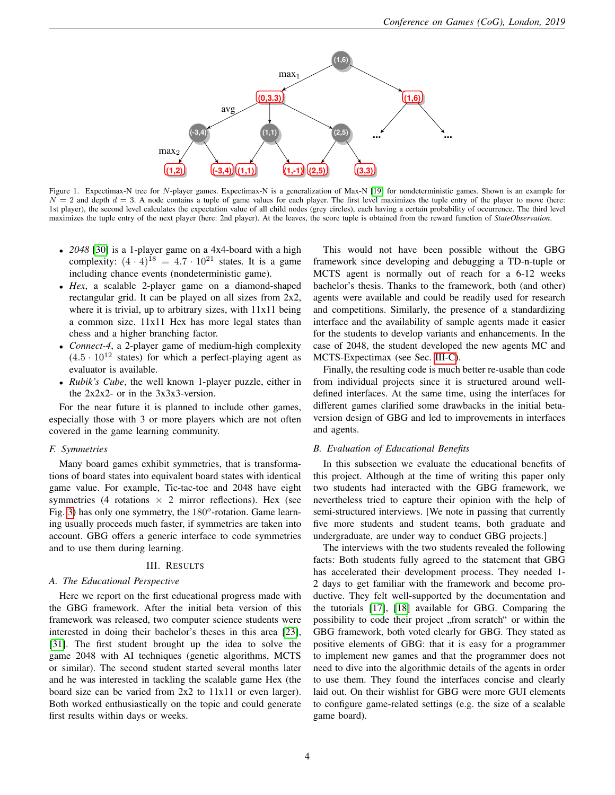

<span id="page-3-2"></span>Figure 1. Expectimax-N tree for N-player games. Expectimax-N is a generalization of Max-N [\[19\]](#page-7-18) for nondeterministic games. Shown is an example for  $N = 2$  and depth  $d = 3$ . A node contains a tuple of game values for each player. The first level maximizes the tuple entry of the player to move (here: 1st player), the second level calculates the expectation value of all child nodes (grey circles), each having a certain probability of occurrence. The third level maximizes the tuple entry of the next player (here: 2nd player). At the leaves, the score tuple is obtained from the reward function of *StateObservation*.

- *2048* [\[30\]](#page-7-28) is a 1-player game on a 4x4-board with a high complexity:  $(4 \cdot 4)^{18} = 4.7 \cdot 10^{21}$  states. It is a game including chance events (nondeterministic game).
- *Hex*, a scalable 2-player game on a diamond-shaped rectangular grid. It can be played on all sizes from 2x2, where it is trivial, up to arbitrary sizes, with 11x11 being a common size. 11x11 Hex has more legal states than chess and a higher branching factor.
- *Connect-4*, a 2-player game of medium-high complexity  $(4.5 \cdot 10^{12}$  states) for which a perfect-playing agent as evaluator is available.
- *Rubik's Cube*, the well known 1-player puzzle, either in the 2x2x2- or in the 3x3x3-version.

For the near future it is planned to include other games, especially those with 3 or more players which are not often covered in the game learning community.

# <span id="page-3-1"></span>*F. Symmetries*

Many board games exhibit symmetries, that is transformations of board states into equivalent board states with identical game value. For example, Tic-tac-toe and 2048 have eight symmetries (4 rotations  $\times$  2 mirror reflections). Hex (see Fig. [3\)](#page-5-0) has only one symmetry, the  $180^o$ -rotation. Game learning usually proceeds much faster, if symmetries are taken into account. GBG offers a generic interface to code symmetries and to use them during learning.

#### III. RESULTS

# <span id="page-3-0"></span>*A. The Educational Perspective*

Here we report on the first educational progress made with the GBG framework. After the initial beta version of this framework was released, two computer science students were interested in doing their bachelor's theses in this area [\[23\]](#page-7-23), [\[31\]](#page-7-29). The first student brought up the idea to solve the game 2048 with AI techniques (genetic algorithms, MCTS or similar). The second student started several months later and he was interested in tackling the scalable game Hex (the board size can be varied from 2x2 to 11x11 or even larger). Both worked enthusiastically on the topic and could generate first results within days or weeks.

This would not have been possible without the GBG framework since developing and debugging a TD-n-tuple or MCTS agent is normally out of reach for a 6-12 weeks bachelor's thesis. Thanks to the framework, both (and other) agents were available and could be readily used for research and competitions. Similarly, the presence of a standardizing interface and the availability of sample agents made it easier for the students to develop variants and enhancements. In the case of 2048, the student developed the new agents MC and MCTS-Expectimax (see Sec. [III-C\)](#page-4-0).

Finally, the resulting code is much better re-usable than code from individual projects since it is structured around welldefined interfaces. At the same time, using the interfaces for different games clarified some drawbacks in the initial betaversion design of GBG and led to improvements in interfaces and agents.

# *B. Evaluation of Educational Benefits*

In this subsection we evaluate the educational benefits of this project. Although at the time of writing this paper only two students had interacted with the GBG framework, we nevertheless tried to capture their opinion with the help of semi-structured interviews. [We note in passing that currently five more students and student teams, both graduate and undergraduate, are under way to conduct GBG projects.]

The interviews with the two students revealed the following facts: Both students fully agreed to the statement that GBG has accelerated their development process. They needed 1- 2 days to get familiar with the framework and become productive. They felt well-supported by the documentation and the tutorials [\[17\]](#page-7-16), [\[18\]](#page-7-17) available for GBG. Comparing the possibility to code their project "from scratch" or within the<br>CDC framework, hoth yoted elective for CDC. They stated as GBG framework, both voted clearly for GBG. They stated as positive elements of GBG: that it is easy for a programmer to implement new games and that the programmer does not need to dive into the algorithmic details of the agents in order to use them. They found the interfaces concise and clearly laid out. On their wishlist for GBG were more GUI elements to configure game-related settings (e.g. the size of a scalable game board).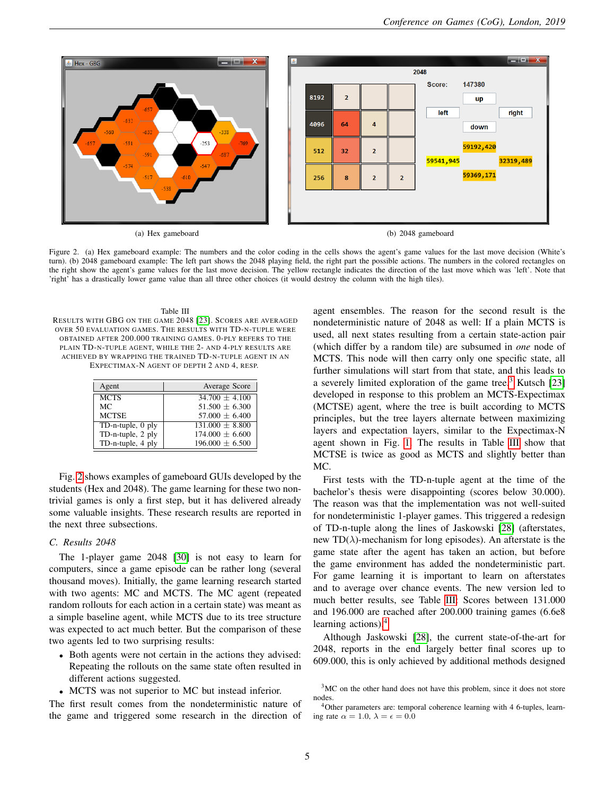

<span id="page-4-1"></span>Figure 2. (a) Hex gameboard example: The numbers and the color coding in the cells shows the agent's game values for the last move decision (White's turn). (b) 2048 gameboard example: The left part shows the 2048 playing field, the right part the possible actions. The numbers in the colored rectangles on the right show the agent's game values for the last move decision. The yellow rectangle indicates the direction of the last move which was 'left'. Note that 'right' has a drastically lower game value than all three other choices (it would destroy the column with the high tiles).

#### Table III

<span id="page-4-3"></span>RESULTS WITH GBG ON THE GAME 2048 [\[23\]](#page-7-23). SCORES ARE AVERAGED OVER 50 EVALUATION GAMES. THE RESULTS WITH TD-N-TUPLE WERE OBTAINED AFTER 200.000 TRAINING GAMES. 0-PLY REFERS TO THE PLAIN TD-N-TUPLE AGENT, WHILE THE 2- AND 4-PLY RESULTS ARE ACHIEVED BY WRAPPING THE TRAINED TD-N-TUPLE AGENT IN AN EXPECTIMAX-N AGENT OF DEPTH 2 AND 4, RESP.

| Agent             | Average Score       |
|-------------------|---------------------|
| <b>MCTS</b>       | $34.700 + 4.100$    |
| МC                | $51.500 + 6.300$    |
| <b>MCTSE</b>      | $57.000 \pm 6.400$  |
| TD-n-tuple, 0 ply | $131.000 + 8.800$   |
| TD-n-tuple, 2 ply | $174.000 \pm 6.600$ |
| TD-n-tuple, 4 ply | $196.000 \pm 6.500$ |

Fig. [2](#page-4-1) shows examples of gameboard GUIs developed by the students (Hex and 2048). The game learning for these two nontrivial games is only a first step, but it has delivered already some valuable insights. These research results are reported in the next three subsections.

# <span id="page-4-0"></span>*C. Results 2048*

The 1-player game 2048 [\[30\]](#page-7-28) is not easy to learn for computers, since a game episode can be rather long (several thousand moves). Initially, the game learning research started with two agents: MC and MCTS. The MC agent (repeated random rollouts for each action in a certain state) was meant as a simple baseline agent, while MCTS due to its tree structure was expected to act much better. But the comparison of these two agents led to two surprising results:

- Both agents were not certain in the actions they advised: Repeating the rollouts on the same state often resulted in different actions suggested.
- MCTS was not superior to MC but instead inferior.

The first result comes from the nondeterministic nature of the game and triggered some research in the direction of

agent ensembles. The reason for the second result is the nondeterministic nature of 2048 as well: If a plain MCTS is used, all next states resulting from a certain state-action pair (which differ by a random tile) are subsumed in *one* node of MCTS. This node will then carry only one specific state, all further simulations will start from that state, and this leads to a severely limited exploration of the game tree.<sup>[3](#page-4-2)</sup> Kutsch [\[23\]](#page-7-23) developed in response to this problem an MCTS-Expectimax (MCTSE) agent, where the tree is built according to MCTS principles, but the tree layers alternate between maximizing layers and expectation layers, similar to the Expectimax-N agent shown in Fig. [1.](#page-3-2) The results in Table [III](#page-4-3) show that MCTSE is twice as good as MCTS and slightly better than MC.

First tests with the TD-n-tuple agent at the time of the bachelor's thesis were disappointing (scores below 30.000). The reason was that the implementation was not well-suited for nondeterministic 1-player games. This triggered a redesign of TD-n-tuple along the lines of Jaskowski [\[28\]](#page-7-26) (afterstates, new TD( $\lambda$ )-mechanism for long episodes). An afterstate is the game state after the agent has taken an action, but before the game environment has added the nondeterministic part. For game learning it is important to learn on afterstates and to average over chance events. The new version led to much better results, see Table [III:](#page-4-3) Scores between 131.000 and 196.000 are reached after 200.000 training games (6.6e8 learning actions).[4](#page-4-4)

Although Jaskowski [\[28\]](#page-7-26), the current state-of-the-art for 2048, reports in the end largely better final scores up to 609.000, this is only achieved by additional methods designed

<span id="page-4-2"></span><sup>3</sup>MC on the other hand does not have this problem, since it does not store nodes.

<span id="page-4-4"></span><sup>4</sup>Other parameters are: temporal coherence learning with 4 6-tuples, learning rate  $\alpha = 1.0, \lambda = \epsilon = 0.0$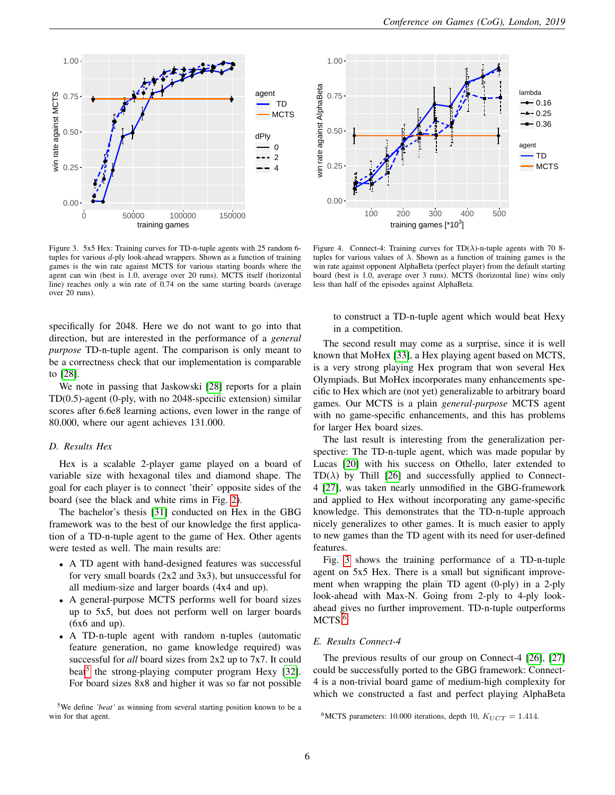

<span id="page-5-0"></span>Figure 3. 5x5 Hex: Training curves for TD-n-tuple agents with 25 random 6 tuples for various d-ply look-ahead wrappers. Shown as a function of training games is the win rate against MCTS for various starting boards where the agent can win (best is 1.0, average over 20 runs). MCTS itself (horizontal line) reaches only a win rate of 0.74 on the same starting boards (average over 20 runs).

specifically for 2048. Here we do not want to go into that direction, but are interested in the performance of a *general purpose* TD-n-tuple agent. The comparison is only meant to be a correctness check that our implementation is comparable to [\[28\]](#page-7-26).

We note in passing that Jaskowski [\[28\]](#page-7-26) reports for a plain TD(0.5)-agent (0-ply, with no 2048-specific extension) similar scores after 6.6e8 learning actions, even lower in the range of 80.000, where our agent achieves 131.000.

# *D. Results Hex*

Hex is a scalable 2-player game played on a board of variable size with hexagonal tiles and diamond shape. The goal for each player is to connect 'their' opposite sides of the board (see the black and white rims in Fig. [2\)](#page-4-1).

The bachelor's thesis [\[31\]](#page-7-29) conducted on Hex in the GBG framework was to the best of our knowledge the first application of a TD-n-tuple agent to the game of Hex. Other agents were tested as well. The main results are:

- A TD agent with hand-designed features was successful for very small boards (2x2 and 3x3), but unsuccessful for all medium-size and larger boards (4x4 and up).
- A general-purpose MCTS performs well for board sizes up to 5x5, but does not perform well on larger boards (6x6 and up).
- A TD-n-tuple agent with random n-tuples (automatic feature generation, no game knowledge required) was successful for *all* board sizes from 2x2 up to 7x7. It could beat<sup>[5](#page-5-1)</sup> the strong-playing computer program Hexy [\[32\]](#page-7-30). For board sizes 8x8 and higher it was so far not possible

<span id="page-5-1"></span><sup>5</sup>We define *'beat'* as winning from several starting position known to be a win for that agent.



<span id="page-5-3"></span>Figure 4. Connect-4: Training curves for  $TD(\lambda)$ -n-tuple agents with 70 8tuples for various values of  $\lambda$ . Shown as a function of training games is the win rate against opponent AlphaBeta (perfect player) from the default starting board (best is 1.0, average over 3 runs). MCTS (horizontal line) wins only less than half of the episodes against AlphaBeta.

to construct a TD-n-tuple agent which would beat Hexy in a competition.

The second result may come as a surprise, since it is well known that MoHex [\[33\]](#page-7-31), a Hex playing agent based on MCTS, is a very strong playing Hex program that won several Hex Olympiads. But MoHex incorporates many enhancements specific to Hex which are (not yet) generalizable to arbitrary board games. Our MCTS is a plain *general-purpose* MCTS agent with no game-specific enhancements, and this has problems for larger Hex board sizes.

The last result is interesting from the generalization perspective: The TD-n-tuple agent, which was made popular by Lucas [\[20\]](#page-7-19) with his success on Othello, later extended to  $TD(\lambda)$  by Thill [\[26\]](#page-7-25) and successfully applied to Connect-4 [\[27\]](#page-7-32), was taken nearly unmodified in the GBG-framework and applied to Hex without incorporating any game-specific knowledge. This demonstrates that the TD-n-tuple approach nicely generalizes to other games. It is much easier to apply to new games than the TD agent with its need for user-defined features.

Fig. [3](#page-5-0) shows the training performance of a TD-n-tuple agent on 5x5 Hex. There is a small but significant improvement when wrapping the plain TD agent (0-ply) in a 2-ply look-ahead with Max-N. Going from 2-ply to 4-ply lookahead gives no further improvement. TD-n-tuple outperforms MCTS.<sup>[6](#page-5-2)</sup>

#### *E. Results Connect-4*

The previous results of our group on Connect-4 [\[26\]](#page-7-25), [\[27\]](#page-7-32) could be successfully ported to the GBG framework: Connect-4 is a non-trivial board game of medium-high complexity for which we constructed a fast and perfect playing AlphaBeta

<span id="page-5-2"></span><sup>&</sup>lt;sup>6</sup>MCTS parameters: 10.000 iterations, depth 10,  $K_{UCT} = 1.414$ .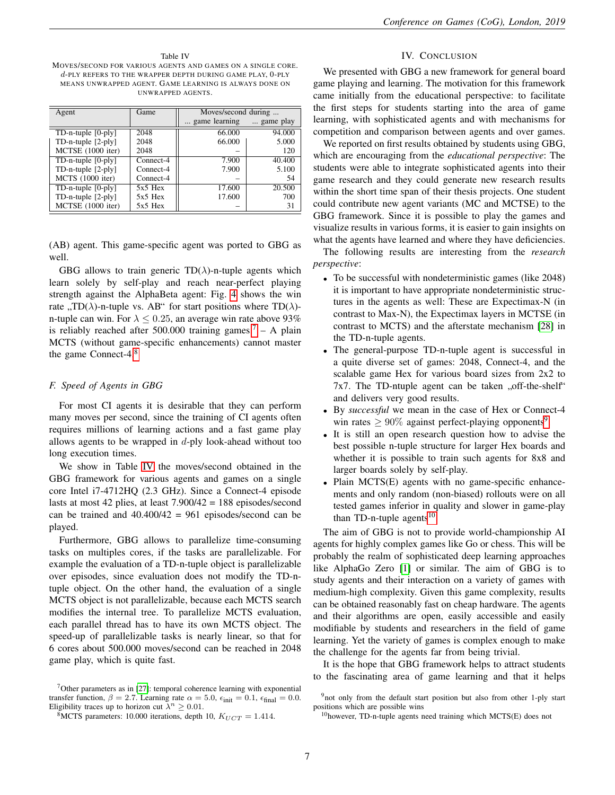<span id="page-6-4"></span>Table IV MOVES/SECOND FOR VARIOUS AGENTS AND GAMES ON A SINGLE CORE. d-PLY REFERS TO THE WRAPPER DEPTH DURING GAME PLAY, 0-PLY MEANS UNWRAPPED AGENT. GAME LEARNING IS ALWAYS DONE ON UNWRAPPED AGENTS.

| Agent                                  | Game      | Moves/second during |           |  |
|----------------------------------------|-----------|---------------------|-----------|--|
|                                        |           | game learning       | game play |  |
| $TD$ -n-tuple $[0-ply]$                | 2048      | 66.000              | 94.000    |  |
| $TD$ -n-tuple $[2-ply]$                | 2048      | 66.000              | 5.000     |  |
| MCTSE (1000 iter)                      | 2048      |                     | 120       |  |
| $\overline{\text{TD-n-tuple } [0-p]}\$ | Connect-4 | 7.900               | 40.400    |  |
| $TD$ -n-tuple $[2-ply]$                | Connect-4 | 7.900               | 5.100     |  |
| MCTS (1000 iter)                       | Connect-4 |                     | 54        |  |
| $TD$ -n-tuple $[0$ -ply]               | $5x5$ Hex | 17.600              | 20.500    |  |
| TD-n-tuple [2-ply]                     | $5x5$ Hex | 17.600              | 700       |  |
| MCTSE (1000 iter)                      | $5x5$ Hex |                     | 31        |  |

(AB) agent. This game-specific agent was ported to GBG as well.

GBG allows to train generic  $TD(\lambda)$ -n-tuple agents which learn solely by self-play and reach near-perfect playing strength against the AlphaBeta agent: Fig. [4](#page-5-3) shows the win rate ,,TD( $\lambda$ )-n-tuple vs. AB" for start positions where TD( $\lambda$ )-<br>n turb are via Ean  $\lambda \leq 0.25$  are average via rate above 0200 n-tuple can win. For  $\lambda \leq 0.25$ , an average win rate above 93% is reliably reached after 500.000 training games.<sup>[7](#page-6-2)</sup> – A plain MCTS (without game-specific enhancements) cannot master the game Connect-4.[8](#page-6-3)

# <span id="page-6-1"></span>*F. Speed of Agents in GBG*

For most CI agents it is desirable that they can perform many moves per second, since the training of CI agents often requires millions of learning actions and a fast game play allows agents to be wrapped in  $d$ -ply look-ahead without too long execution times.

We show in Table [IV](#page-6-4) the moves/second obtained in the GBG framework for various agents and games on a single core Intel i7-4712HQ (2.3 GHz). Since a Connect-4 episode lasts at most 42 plies, at least 7.900/42 = 188 episodes/second can be trained and  $40.400/42 = 961$  episodes/second can be played.

Furthermore, GBG allows to parallelize time-consuming tasks on multiples cores, if the tasks are parallelizable. For example the evaluation of a TD-n-tuple object is parallelizable over episodes, since evaluation does not modify the TD-ntuple object. On the other hand, the evaluation of a single MCTS object is not parallelizable, because each MCTS search modifies the internal tree. To parallelize MCTS evaluation, each parallel thread has to have its own MCTS object. The speed-up of parallelizable tasks is nearly linear, so that for 6 cores about 500.000 moves/second can be reached in 2048 game play, which is quite fast.

# IV. CONCLUSION

<span id="page-6-0"></span>We presented with GBG a new framework for general board game playing and learning. The motivation for this framework came initially from the educational perspective: to facilitate the first steps for students starting into the area of game learning, with sophisticated agents and with mechanisms for competition and comparison between agents and over games.

We reported on first results obtained by students using GBG, which are encouraging from the *educational perspective*: The students were able to integrate sophisticated agents into their game research and they could generate new research results within the short time span of their thesis projects. One student could contribute new agent variants (MC and MCTSE) to the GBG framework. Since it is possible to play the games and visualize results in various forms, it is easier to gain insights on what the agents have learned and where they have deficiencies.

The following results are interesting from the *research perspective*:

- To be successful with nondeterministic games (like 2048) it is important to have appropriate nondeterministic structures in the agents as well: These are Expectimax-N (in contrast to Max-N), the Expectimax layers in MCTSE (in contrast to MCTS) and the afterstate mechanism [\[28\]](#page-7-26) in the TD-n-tuple agents.
- The general-purpose TD-n-tuple agent is successful in a quite diverse set of games: 2048, Connect-4, and the scalable game Hex for various board sizes from 2x2 to  $7x7$ . The TD-ntuple agent can be taken  $, 0$ , off-the-shelf<sup>\*</sup> and delivers very good results.
- By *successful* we mean in the case of Hex or Connect-4 win rates  $\geq 90\%$  $\geq 90\%$  $\geq 90\%$  against perfect-playing opponents<sup>9</sup>.
- It is still an open research question how to advise the best possible n-tuple structure for larger Hex boards and whether it is possible to train such agents for 8x8 and larger boards solely by self-play.
- Plain MCTS(E) agents with no game-specific enhancements and only random (non-biased) rollouts were on all tested games inferior in quality and slower in game-play than TD-n-tuple agents<sup>[10](#page-6-6)</sup>.

The aim of GBG is not to provide world-championship AI agents for highly complex games like Go or chess. This will be probably the realm of sophisticated deep learning approaches like AlphaGo Zero [\[1\]](#page-7-0) or similar. The aim of GBG is to study agents and their interaction on a variety of games with medium-high complexity. Given this game complexity, results can be obtained reasonably fast on cheap hardware. The agents and their algorithms are open, easily accessible and easily modifiable by students and researchers in the field of game learning. Yet the variety of games is complex enough to make the challenge for the agents far from being trivial.

It is the hope that GBG framework helps to attract students to the fascinating area of game learning and that it helps

<span id="page-6-2"></span><sup>7</sup>Other parameters as in [\[27\]](#page-7-32): temporal coherence learning with exponential transfer function,  $\beta = 2.7$ . Learning rate  $\alpha = 5.0$ ,  $\epsilon_{\text{init}} = 0.1$ ,  $\epsilon_{\text{final}} = 0.0$ . Eligibility traces up to horizon cut  $\lambda^n \geq 0.01$ .

<span id="page-6-3"></span><sup>&</sup>lt;sup>8</sup>MCTS parameters: 10.000 iterations, depth 10,  $K_{UCT} = 1.414$ .

<span id="page-6-5"></span><sup>&</sup>lt;sup>9</sup>not only from the default start position but also from other 1-ply start positions which are possible wins

<span id="page-6-6"></span> $10$ however, TD-n-tuple agents need training which MCTS(E) does not